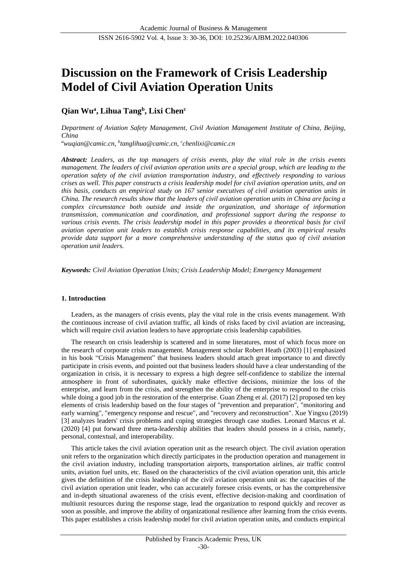# **Discussion on the Framework of Crisis Leadership Model of Civil Aviation Operation Units**

## **Qian Wu<sup>a</sup> , Lihua Tang<sup>b</sup> , Lixi Chen<sup>c</sup>**

*Department of Aviation Safety Management, Civil Aviation Management Institute of China, Beijing, China*

*<sup>a</sup>wuqian@camic.cn, b tanglihua@camic.cn, <sup>c</sup> chenlixi@camic.cn*

*Abstract: Leaders, as the top managers of crisis events, play the vital role in the crisis events management. The leaders of civil aviation operation units are a special group, which are leading to the operation safety of the civil aviation transportation industry, and effectively responding to various crises as well. This paper constructs a crisis leadership model for civil aviation operation units, and on this basis, conducts an empirical study on 167 senior executives of civil aviation operation units in China. The research results show that the leaders of civil aviation operation units in China are facing a complex circumstance both outside and inside the organization, and shortage of information transmission, communication and coordination, and professional support during the response to various crisis events. The crisis leadership model in this paper provides a theoretical basis for civil aviation operation unit leaders to establish crisis response capabilities, and its empirical results provide data support for a more comprehensive understanding of the status quo of civil aviation operation unit leaders.*

*Keywords: Civil Aviation Operation Units; Crisis Leadership Model; Emergency Management*

#### **1. Introduction**

Leaders, as the managers of crisis events, play the vital role in the crisis events management. With the continuous increase of civil aviation traffic, all kinds of risks faced by civil aviation are increasing, which will require civil aviation leaders to have appropriate crisis leadership capabilities.

The research on crisis leadership is scattered and in some literatures, most of which focus more on the research of corporate crisis management. Management scholar Robert Heath (2003) [1] emphasized in his book "Crisis Management" that business leaders should attach great importance to and directly participate in crisis events, and pointed out that business leaders should have a clear understanding of the organization in crisis, it is necessary to express a high degree self-confidence to stabilize the internal atmosphere in front of subordinates, quickly make effective decisions, minimize the loss of the enterprise, and learn from the crisis, and strengthen the ability of the enterprise to respond to the crisis while doing a good job in the restoration of the enterprise. Guan Zheng et al. (2017) [2] proposed ten key elements of crisis leadership based on the four stages of "prevention and preparation", "monitoring and early warning", "emergency response and rescue", and "recovery and reconstruction". Xue Yingxu (2019) [3] analyzes leaders' crisis problems and coping strategies through case studies. Leonard Marcus et al. (2020) [4] put forward three meta-leadership abilities that leaders should possess in a crisis, namely, personal, contextual, and interoperability.

This article takes the civil aviation operation unit as the research object. The civil aviation operation unit refers to the organization which directly participates in the production operation and management in the civil aviation industry, including transportation airports, transportation airlines, air traffic control units, aviation fuel units, etc. Based on the characteristics of the civil aviation operation unit, this article gives the definition of the crisis leadership of the civil aviation operation unit as: the capacities of the civil aviation operation unit leader, who can accurately foresee crisis events, or has the comprehensive and in-depth situational awareness of the crisis event, effective decision-making and coordination of multiunit resources during the response stage, lead the organization to respond quickly and recover as soon as possible, and improve the ability of organizational resilience after learning from the crisis events. This paper establishes a crisis leadership model for civil aviation operation units, and conducts empirical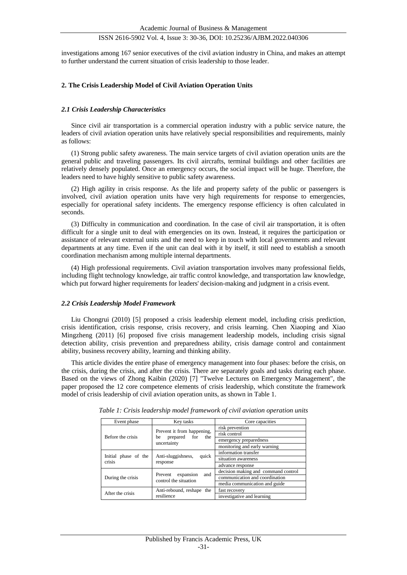investigations among 167 senior executives of the civil aviation industry in China, and makes an attempt to further understand the current situation of crisis leadership to those leader.

#### **2. The Crisis Leadership Model of Civil Aviation Operation Units**

#### *2.1 Crisis Leadership Characteristics*

Since civil air transportation is a commercial operation industry with a public service nature, the leaders of civil aviation operation units have relatively special responsibilities and requirements, mainly as follows:

(1) Strong public safety awareness. The main service targets of civil aviation operation units are the general public and traveling passengers. Its civil aircrafts, terminal buildings and other facilities are relatively densely populated. Once an emergency occurs, the social impact will be huge. Therefore, the leaders need to have highly sensitive to public safety awareness.

(2) High agility in crisis response. As the life and property safety of the public or passengers is involved, civil aviation operation units have very high requirements for response to emergencies, especially for operational safety incidents. The emergency response efficiency is often calculated in seconds.

(3) Difficulty in communication and coordination. In the case of civil air transportation, it is often difficult for a single unit to deal with emergencies on its own. Instead, it requires the participation or assistance of relevant external units and the need to keep in touch with local governments and relevant departments at any time. Even if the unit can deal with it by itself, it still need to establish a smooth coordination mechanism among multiple internal departments.

(4) High professional requirements. Civil aviation transportation involves many professional fields, including flight technology knowledge, air traffic control knowledge, and transportation law knowledge, which put forward higher requirements for leaders' decision-making and judgment in a crisis event.

#### *2.2 Crisis Leadership Model Framework*

Liu Chongrui (2010) [5] proposed a crisis leadership element model, including crisis prediction, crisis identification, crisis response, crisis recovery, and crisis learning. Chen Xiaoping and Xiao Mingzheng (2011) [6] proposed five crisis management leadership models, including crisis signal detection ability, crisis prevention and preparedness ability, crisis damage control and containment ability, business recovery ability, learning and thinking ability.

This article divides the entire phase of emergency management into four phases: before the crisis, on the crisis, during the crisis, and after the crisis. There are separately goals and tasks during each phase. Based on the views of Zhong Kaibin (2020) [7] "Twelve Lectures on Emergency Management", the paper proposed the 12 core competence elements of crisis leadership, which constitute the framework model of crisis leadership of civil aviation operation units, as shown in Table 1.

| Event phase                    | Key tasks                                                              | Core capacities                     |  |
|--------------------------------|------------------------------------------------------------------------|-------------------------------------|--|
| Before the crisis              | Prevent it from happening,<br>prepared for<br>the<br>be<br>uncertainty | risk prevention                     |  |
|                                |                                                                        | risk control                        |  |
|                                |                                                                        | emergency preparedness              |  |
|                                |                                                                        | monitoring and early warning        |  |
|                                | Anti-sluggishness,<br>quick<br>response                                | information transfer                |  |
| Initial phase of the<br>crisis |                                                                        | situation awareness                 |  |
|                                |                                                                        | advance response                    |  |
|                                | expansion<br>Prevent<br>and<br>control the situation                   | decision making and command control |  |
| During the crisis              |                                                                        | communication and coordination      |  |
|                                |                                                                        | media communication and guide       |  |
| After the crisis               | Anti-rebound, reshape the                                              | fast recovery                       |  |
|                                | resilience                                                             | investigative and learning          |  |

*Table 1: Crisis leadership model framework of civil aviation operation units*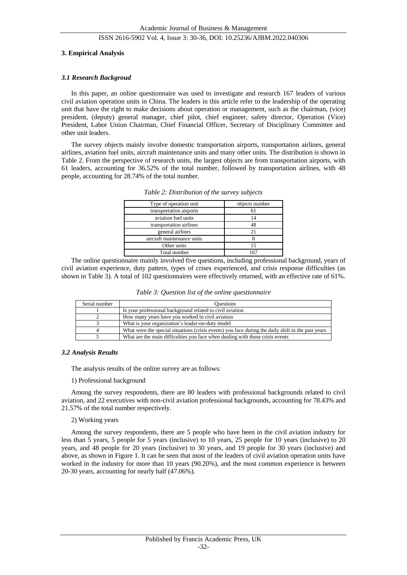#### **3. Empirical Analysis**

#### *3.1 Research Backgroud*

In this paper, an online questionnaire was used to investigate and research 167 leaders of various civil aviation operation units in China. The leaders in this article refer to the leadership of the operating unit that have the right to make decisions about operation or management, such as the chairman, (vice) president, (deputy) general manager, chief pilot, chief engineer, safety director, Operation (Vice) President, Labor Union Chairman, Chief Financial Officer, Secretary of Disciplinary Committee and other unit leaders.

The survey objects mainly involve domestic transportation airports, transportation airlines, general airlines, aviation fuel units, aircraft maintenance units and many other units. The distribution is shown in Table 2. From the perspective of research units, the largest objects are from transportation airports, with 61 leaders, accounting for 36.52% of the total number, followed by transportation airlines, with 48 people, accounting for 28.74% of the total number.

| Type of operation unit     | objects number |
|----------------------------|----------------|
| transportation airports    |                |
| aviation fuel units        |                |
| transportation airlines    |                |
| general airlines           |                |
| aircraft maintenance units |                |
| Other units                |                |
| Total number               |                |

*Table 2: Distribution of the survey subjects*

The online questionnaire mainly involved five questions, including professional background, years of civil aviation experience, duty pattern, types of crises experienced, and crisis response difficulties (as shown in Table 3). A total of 102 questionnaires were effectively returned, with an effective rate of 61%.

|  | Table 3: Question list of the online questionnaire |  |  |
|--|----------------------------------------------------|--|--|
|  |                                                    |  |  |

| Serial number | <b>Ouestions</b>                                                                                   |
|---------------|----------------------------------------------------------------------------------------------------|
|               | Is your professional background related to civil aviation                                          |
|               | How many years have you worked in civil aviation                                                   |
|               | What is your organization's leader-on-duty model                                                   |
|               | What were the special situations (crisis events) you face during the daily shift in the past years |
|               | What are the main difficulties you face when dealing with those crisis events                      |

#### *3.2 Analysis Results*

The analysis results of the online survey are as follows:

#### 1) Professional background

Among the survey respondents, there are 80 leaders with professional backgrounds related to civil aviation, and 22 executives with non-civil aviation professional backgrounds, accounting for 78.43% and 21.57% of the total number respectively.

#### 2) Working years

Among the survey respondents, there are 5 people who have been in the civil aviation industry for less than 5 years, 5 people for 5 years (inclusive) to 10 years, 25 people for 10 years (inclusive) to 20 years, and 48 people for 20 years (inclusive) to 30 years, and 19 people for 30 years (inclusive) and above, as shown in Figure 1. It can be seen that most of the leaders of civil aviation operation units have worked in the industry for more than 10 years (90.20%), and the most common experience is between 20-30 years, accounting for nearly half (47.06%).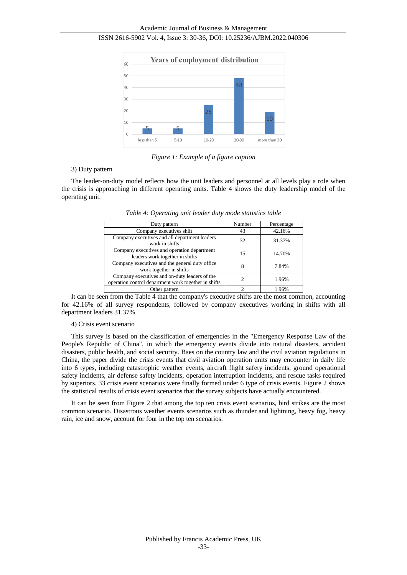

ISSN 2616-5902 Vol. 4, Issue 3: 30-36, DOI: 10.25236/AJBM.2022.040306

*Figure 1: Example of a figure caption*

#### 3) Duty pattern

The leader-on-duty model reflects how the unit leaders and personnel at all levels play a role when the crisis is approaching in different operating units. Table 4 shows the duty leadership model of the operating unit.

| Duty pattern                                                                                          | Number | Percentage |
|-------------------------------------------------------------------------------------------------------|--------|------------|
| Company executives shift                                                                              | 43     | 42.16%     |
| Company executives and all department leaders<br>work in shifts                                       | 32     | 31.37%     |
| Company executives and operation department<br>leaders work together in shifts                        | 15     | 14.70%     |
| Company executives and the general duty office<br>work together in shifts                             | 8      | 7.84%      |
| Company executives and on-duty leaders of the<br>operation control department work together in shifts |        | 1.96%      |
| Other pattern                                                                                         |        | 1.96%      |

*Table 4: Operating unit leader duty mode statistics table*

It can be seen from the Table 4 that the company's executive shifts are the most common, accounting for 42.16% of all survey respondents, followed by company executives working in shifts with all department leaders 31.37%.

#### 4) Crisis event scenario

This survey is based on the classification of emergencies in the "Emergency Response Law of the People's Republic of China", in which the emergency events divide into natural disasters, accident disasters, public health, and social security. Baes on the country law and the civil aviation regulations in China, the paper divide the crisis events that civil aviation operation units may encounter in daily life into 6 types, including catastrophic weather events, aircraft flight safety incidents, ground operational safety incidents, air defense safety incidents, operation interruption incidents, and rescue tasks required by superiors. 33 crisis event scenarios were finally formed under 6 type of crisis events. Figure 2 shows the statistical results of crisis event scenarios that the survey subjects have actually encountered.

It can be seen from Figure 2 that among the top ten crisis event scenarios, bird strikes are the most common scenario. Disastrous weather events scenarios such as thunder and lightning, heavy fog, heavy rain, ice and snow, account for four in the top ten scenarios.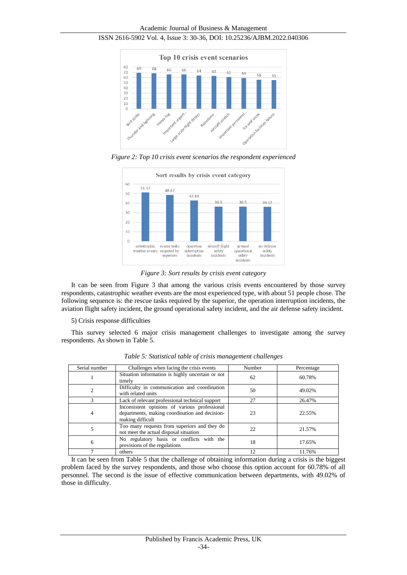



*Figure 2: Top 10 crisis event scenarios the respondent experienced*



*Figure 3: Sort results by crisis event category*

It can be seen from Figure 3 that among the various crisis events encountered by those survey respondents, catastrophic weather events are the most experienced type, with about 51 people chose. The following sequence is: the rescue tasks required by the superior, the operation interruption incidents, the aviation flight safety incident, the ground operational safety incident, and the air defense safety incident.

5) Crisis response difficulties

This survey selected 6 major crisis management challenges to investigate among the survey respondents. As shown in Table 5.

| Serial number  | Challenges when facing the crisis events                                                                            | Number | Percentage |
|----------------|---------------------------------------------------------------------------------------------------------------------|--------|------------|
|                | Situation information is highly uncertain or not<br>timely                                                          | 62     | 60.78%     |
| $\overline{2}$ | Difficulty in communication and coordination<br>with related units                                                  | 50     | 49.02%     |
|                | Lack of relevant professional technical support                                                                     | 27     | 26.47%     |
| 4              | Inconsistent opinions of various professional<br>departments, making coordination and decision-<br>making difficult | 23     | 22.55%     |
| 5              | Too many requests from superiors and they do<br>not meet the actual disposal situation                              | 22     | 21.57%     |
| 6              | No regulatory basis or conflicts with the<br>provisions of the regulations                                          | 18     | 17.65%     |
|                | others                                                                                                              | 12     | 11.76%     |

*Table 5: Statistical table of crisis management challenges*

It can be seen from Table 5 that the challenge of obtaining information during a crisis is the biggest problem faced by the survey respondents, and those who choose this option account for 60.78% of all personnel. The second is the issue of effective communication between departments, with 49.02% of those in difficulty.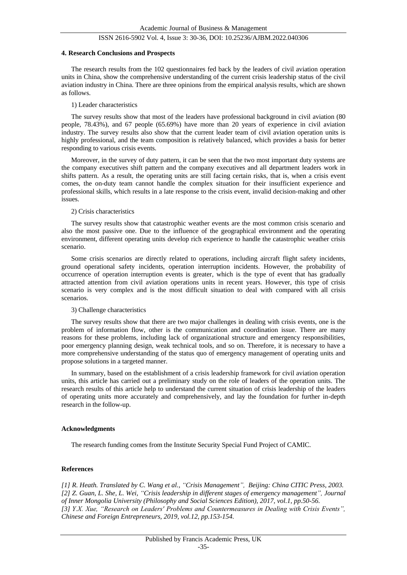#### **4. Research Conclusions and Prospects**

The research results from the 102 questionnaires fed back by the leaders of civil aviation operation units in China, show the comprehensive understanding of the current crisis leadership status of the civil aviation industry in China. There are three opinions from the empirical analysis results, which are shown as follows.

#### 1) Leader characteristics

The survey results show that most of the leaders have professional background in civil aviation (80 people, 78.43%), and 67 people (65.69%) have more than 20 years of experience in civil aviation industry. The survey results also show that the current leader team of civil aviation operation units is highly professional, and the team composition is relatively balanced, which provides a basis for better responding to various crisis events.

Moreover, in the survey of duty pattern, it can be seen that the two most important duty systems are the company executives shift pattern and the company executives and all department leaders work in shifts pattern. As a result, the operating units are still facing certain risks, that is, when a crisis event comes, the on-duty team cannot handle the complex situation for their insufficient experience and professional skills, which results in a late response to the crisis event, invalid decision-making and other issues.

#### 2) Crisis characteristics

The survey results show that catastrophic weather events are the most common crisis scenario and also the most passive one. Due to the influence of the geographical environment and the operating environment, different operating units develop rich experience to handle the catastrophic weather crisis scenario.

Some crisis scenarios are directly related to operations, including aircraft flight safety incidents, ground operational safety incidents, operation interruption incidents. However, the probability of occurrence of operation interruption events is greater, which is the type of event that has gradually attracted attention from civil aviation operations units in recent years. However, this type of crisis scenario is very complex and is the most difficult situation to deal with compared with all crisis scenarios.

#### 3) Challenge characteristics

The survey results show that there are two major challenges in dealing with crisis events, one is the problem of information flow, other is the communication and coordination issue. There are many reasons for these problems, including lack of organizational structure and emergency responsibilities, poor emergency planning design, weak technical tools, and so on. Therefore, it is necessary to have a more comprehensive understanding of the status quo of emergency management of operating units and propose solutions in a targeted manner.

In summary, based on the establishment of a crisis leadership framework for civil aviation operation units, this article has carried out a preliminary study on the role of leaders of the operation units. The research results of this article help to understand the current situation of crisis leadership of the leaders of operating units more accurately and comprehensively, and lay the foundation for further in-depth research in the follow-up.

#### **Acknowledgments**

The research funding comes from the Institute Security Special Fund Project of CAMIC.

#### **References**

*[1] R. Heath. Translated by C. Wang et al., "Crisis Management", Beijing: China CITIC Press, 2003. [2] Z. Guan, L. She, L. Wei, "Crisis leadership in different stages of emergency management", Journal of Inner Mongolia University (Philosophy and Social Sciences Edition), 2017, vol.1, pp.50-56. [3] Y.X. Xue, "Research on Leaders' Problems and Countermeasures in Dealing with Crisis Events", Chinese and Foreign Entrepreneurs, 2019, vol.12, pp.153-154.*